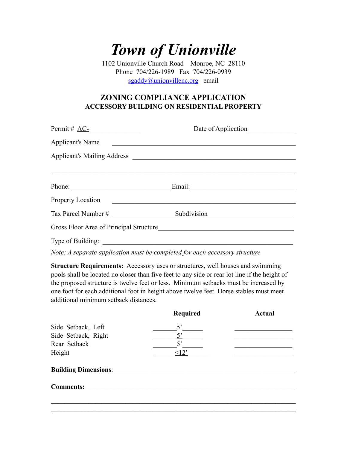## *Town of Unionville*

1102 Unionville Church Road Monroe, NC 28110 Phone 704/226-1989 Fax 704/226-0939 [sgaddy@unionvillenc.org](mailto:sgaddy@unionvillenc.org) email

## **ZONING COMPLIANCE APPLICATION ACCESSORY BUILDING ON RESIDENTIAL PROPERTY**

| $Permit \# AC$ -                        | Date of Application |
|-----------------------------------------|---------------------|
| <b>Applicant's Name</b>                 |                     |
|                                         |                     |
|                                         |                     |
|                                         |                     |
| <b>Property Location</b>                |                     |
| Tax Parcel Number #                     | Subdivision         |
| Gross Floor Area of Principal Structure |                     |
| Type of Building:                       |                     |

*Note: A separate application must be completed for each accessory structure* 

**Structure Requirements:** Accessory uses or structures, well houses and swimming pools shall be located no closer than five feet to any side or rear lot line if the height of the proposed structure is twelve feet or less. Minimum setbacks must be increased by one foot for each additional foot in height above twelve feet. Horse stables must meet additional minimum setback distances.

|                             | Required    | <b>Actual</b> |
|-----------------------------|-------------|---------------|
| Side Setback, Left          | $5^\circ$   |               |
| Side Setback, Right         |             |               |
| Rear Setback                | $5^{\circ}$ |               |
| Height                      | $\leq$ 12'  |               |
| <b>Building Dimensions:</b> |             |               |
| <b>Comments:</b>            |             |               |
|                             |             |               |
|                             |             |               |